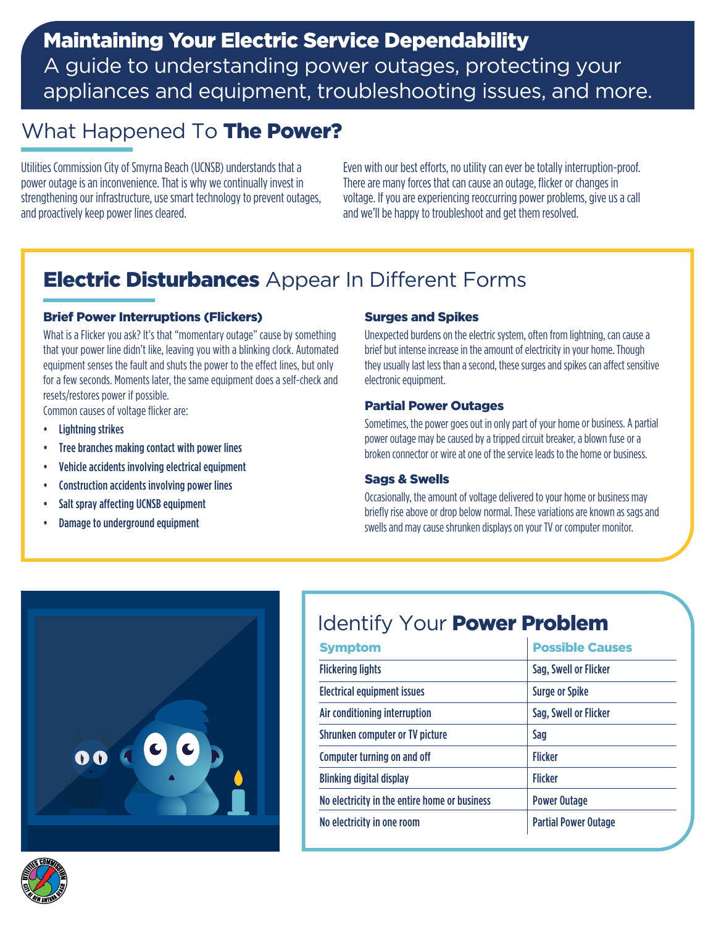## Maintaining Your Electric Service Dependability

A guide to understanding power outages, protecting your appliances and equipment, troubleshooting issues, and more.

## What Happened To The Power?

Utilities Commission City of Smyrna Beach (UCNSB) understands that a power outage is an inconvenience. That is why we continually invest in strengthening our infrastructure, use smart technology to prevent outages, and proactively keep power lines cleared.

Even with our best efforts, no utility can ever be totally interruption-proof. There are many forces that can cause an outage, flicker or changes in voltage. If you are experiencing reoccurring power problems, give us a call and we'll be happy to troubleshoot and get them resolved.

## **Electric Disturbances** Appear In Different Forms

#### Brief Power Interruptions (Flickers)

What is a Flicker you ask? It's that "momentary outage" cause by something that your power line didn't like, leaving you with a blinking clock. Automated equipment senses the fault and shuts the power to the effect lines, but only for a few seconds. Moments later, the same equipment does a self-check and resets/restores power if possible.

Common causes of voltage flicker are:

- Lightning strikes
- Tree branches making contact with power lines
- Vehicle accidents involving electrical equipment
- Construction accidents involving power lines
- Salt spray affecting UCNSB equipment
- Damage to underground equipment

#### Surges and Spikes

Unexpected burdens on the electric system, often from lightning, can cause a brief but intense increase in the amount of electricity in your home. Though they usually last less than a second, these surges and spikes can affect sensitive electronic equipment.

#### Partial Power Outages

Sometimes, the power goes out in only part of your home or business. A partial power outage may be caused by a tripped circuit breaker, a blown fuse or a broken connector or wire at one of the service leads to the home or business.

#### Sags & Swells

Occasionally, the amount of voltage delivered to your home or business may briefly rise above or drop below normal. These variations are known as sags and swells and may cause shrunken displays on your TV or computer monitor.



# Identify Your **Power Problem**

| <b>Symptom</b>                                | <b>Possible Causes</b>      |
|-----------------------------------------------|-----------------------------|
| <b>Flickering lights</b>                      | Sag, Swell or Flicker       |
| <b>Electrical equipment issues</b>            | <b>Surge or Spike</b>       |
| Air conditioning interruption                 | Sag, Swell or Flicker       |
| Shrunken computer or TV picture               | Sag                         |
| <b>Computer turning on and off</b>            | <b>Flicker</b>              |
| <b>Blinking digital display</b>               | <b>Flicker</b>              |
| No electricity in the entire home or business | <b>Power Outage</b>         |
| No electricity in one room                    | <b>Partial Power Outage</b> |

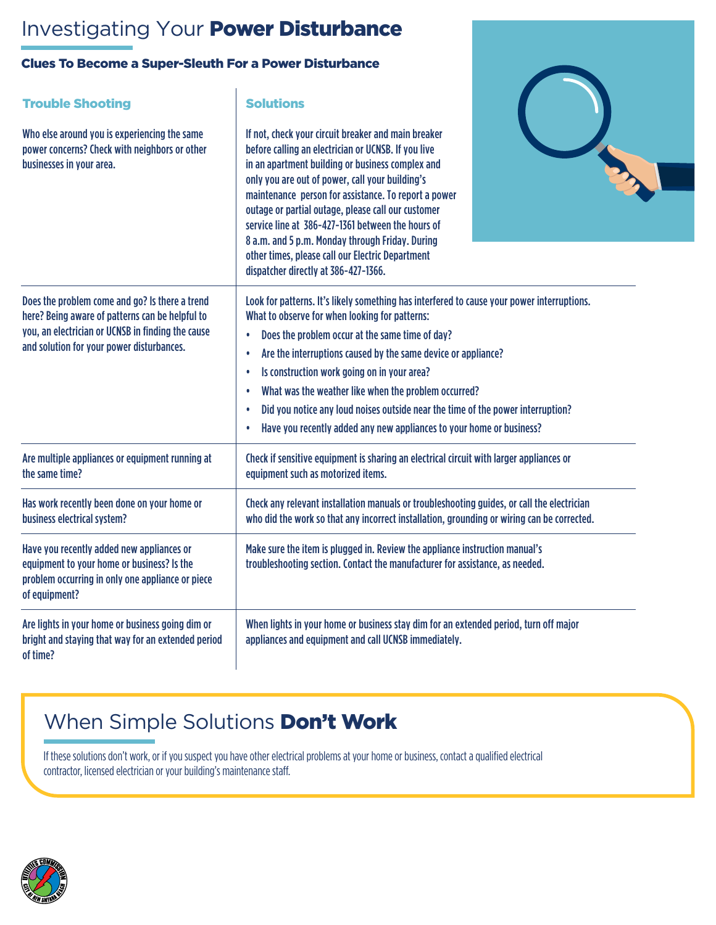## Investigating Your Power Disturbance

### Clues To Become a Super-Sleuth For a Power Disturbance

| <b>Trouble Shooting</b>                                                                                                                                                                             | <b>Solutions</b>                                                                                                                                                                                                                                                                                                                                                                                                                                                                                                                                                                                                 |
|-----------------------------------------------------------------------------------------------------------------------------------------------------------------------------------------------------|------------------------------------------------------------------------------------------------------------------------------------------------------------------------------------------------------------------------------------------------------------------------------------------------------------------------------------------------------------------------------------------------------------------------------------------------------------------------------------------------------------------------------------------------------------------------------------------------------------------|
| Who else around you is experiencing the same<br>power concerns? Check with neighbors or other<br>businesses in your area.                                                                           | If not, check your circuit breaker and main breaker<br>before calling an electrician or UCNSB. If you live<br>in an apartment building or business complex and<br>only you are out of power, call your building's<br>maintenance person for assistance. To report a power<br>outage or partial outage, please call our customer<br>service line at 386-427-1361 between the hours of<br>8 a.m. and 5 p.m. Monday through Friday. During<br>other times, please call our Electric Department<br>dispatcher directly at 386-427-1366.                                                                              |
| Does the problem come and go? Is there a trend<br>here? Being aware of patterns can be helpful to<br>you, an electrician or UCNSB in finding the cause<br>and solution for your power disturbances. | Look for patterns. It's likely something has interfered to cause your power interruptions.<br>What to observe for when looking for patterns:<br>Does the problem occur at the same time of day?<br>$\bullet$<br>Are the interruptions caused by the same device or appliance?<br>$\bullet$<br>Is construction work going on in your area?<br>$\bullet$<br>What was the weather like when the problem occurred?<br>$\bullet$<br>Did you notice any loud noises outside near the time of the power interruption?<br>$\bullet$<br>Have you recently added any new appliances to your home or business?<br>$\bullet$ |
| Are multiple appliances or equipment running at<br>the same time?                                                                                                                                   | Check if sensitive equipment is sharing an electrical circuit with larger appliances or<br>equipment such as motorized items.                                                                                                                                                                                                                                                                                                                                                                                                                                                                                    |
| Has work recently been done on your home or<br>business electrical system?                                                                                                                          | Check any relevant installation manuals or troubleshooting guides, or call the electrician<br>who did the work so that any incorrect installation, grounding or wiring can be corrected.                                                                                                                                                                                                                                                                                                                                                                                                                         |
| Have you recently added new appliances or<br>equipment to your home or business? Is the<br>problem occurring in only one appliance or piece<br>of equipment?                                        | Make sure the item is plugged in. Review the appliance instruction manual's<br>troubleshooting section. Contact the manufacturer for assistance, as needed.                                                                                                                                                                                                                                                                                                                                                                                                                                                      |
| Are lights in your home or business going dim or<br>bright and staying that way for an extended period<br>of time?                                                                                  | When lights in your home or business stay dim for an extended period, turn off major<br>appliances and equipment and call UCNSB immediately.                                                                                                                                                                                                                                                                                                                                                                                                                                                                     |

## When Simple Solutions **Don't Work**

If these solutions don't work, or if you suspect you have other electrical problems at your home or business, contact a qualified electrical contractor, licensed electrician or your building's maintenance staff.

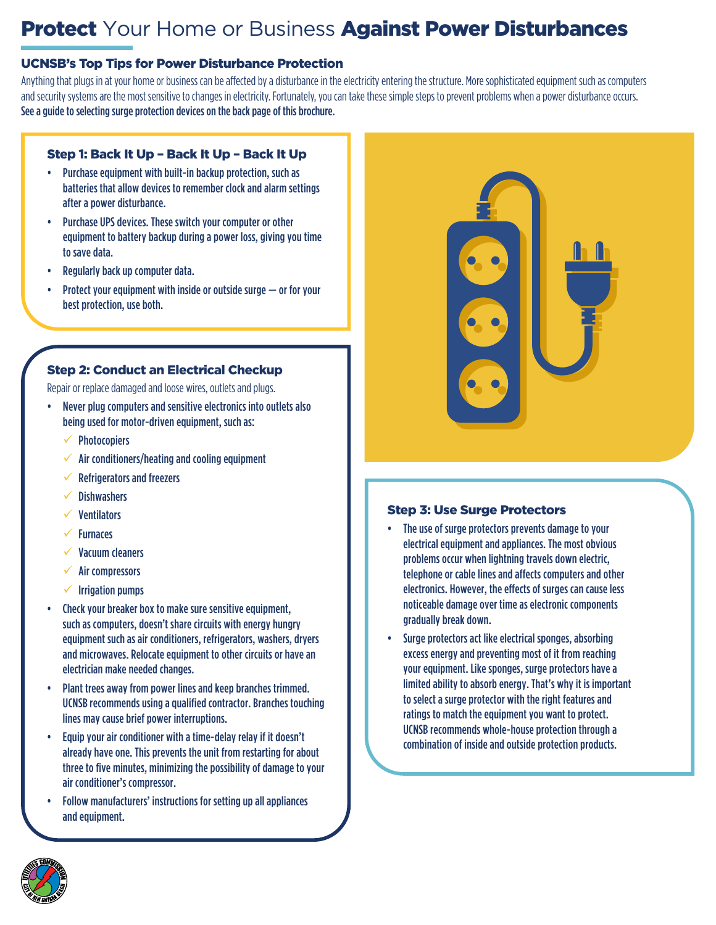## **Protect** Your Home or Business **Against Power Disturbances**

### UCNSB's Top Tips for Power Disturbance Protection

Anything that plugs in at your home or business can be affected by a disturbance in the electricity entering the structure. More sophisticated equipment such as computers and security systems are the most sensitive to changes in electricity. Fortunately, you can take these simple steps to prevent problems when a power disturbance occurs. See a guide to selecting surge protection devices on the back page of this brochure.

### Step 1: Back It Up – Back It Up – Back It Up

- Purchase equipment with built-in backup protection, such as batteries that allow devices to remember clock and alarm settings after a power disturbance.
- Purchase UPS devices. These switch your computer or other equipment to battery backup during a power loss, giving you time to save data.
- Regularly back up computer data.
- Protect your equipment with inside or outside surge  $-$  or for your best protection, use both.

### Step 2: Conduct an Electrical Checkup

Repair or replace damaged and loose wires, outlets and plugs.

- Never plug computers and sensitive electronics into outlets also being used for motor-driven equipment, such as:
	- **Photocopiers**
	- Air conditioners/heating and cooling equipment
	- 9 Refrigerators and freezers
	- **Dishwashers**
	- **Ventilators**
	- **Furnaces**
	- Vacuum cleaners
	- Air compressors
	- **Irrigation pumps**
- Check your breaker box to make sure sensitive equipment, such as computers, doesn't share circuits with energy hungry equipment such as air conditioners, refrigerators, washers, dryers and microwaves. Relocate equipment to other circuits or have an electrician make needed changes.
- Plant trees away from power lines and keep branches trimmed. UCNSB recommends using a qualified contractor. Branches touching lines may cause brief power interruptions.
- Equip your air conditioner with a time-delay relay if it doesn't already have one. This prevents the unit from restarting for about three to five minutes, minimizing the possibility of damage to your air conditioner's compressor.
- Follow manufacturers' instructions for setting up all appliances and equipment.



#### Step 3: Use Surge Protectors

- The use of surge protectors prevents damage to your electrical equipment and appliances. The most obvious problems occur when lightning travels down electric, telephone or cable lines and affects computers and other electronics. However, the effects of surges can cause less noticeable damage over time as electronic components gradually break down.
- Surge protectors act like electrical sponges, absorbing excess energy and preventing most of it from reaching your equipment. Like sponges, surge protectors have a limited ability to absorb energy. That's why it is important to select a surge protector with the right features and ratings to match the equipment you want to protect. UCNSB recommends whole-house protection through a combination of inside and outside protection products.

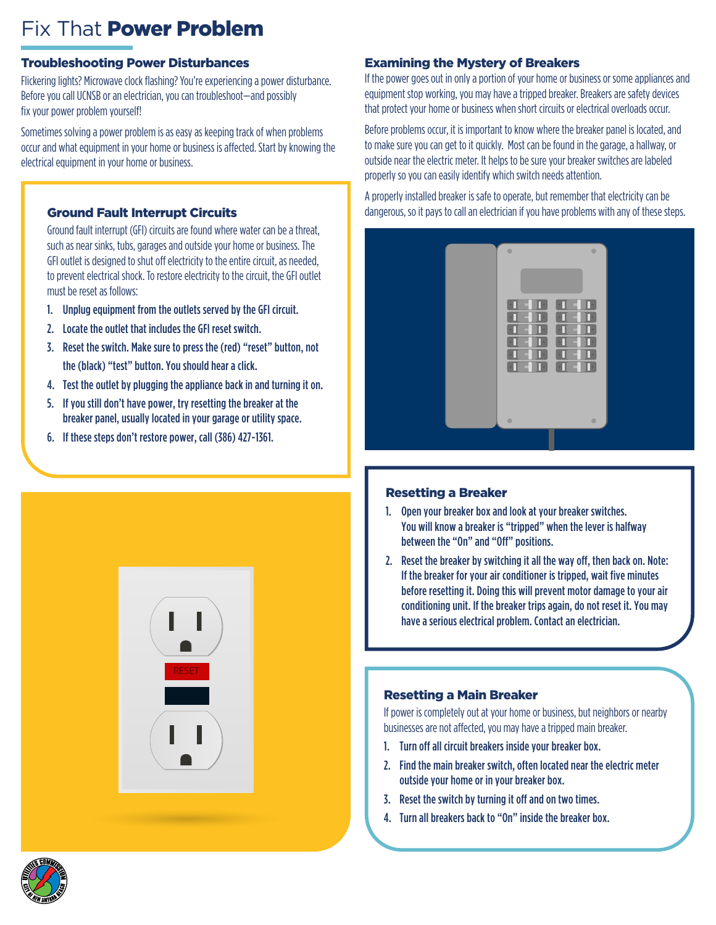## Fix That Power Problem

### Troubleshooting Power Disturbances

Flickering lights? Microwave clock flashing? You're experiencing a power disturbance. Before you call UCNSB or an electrician, you can troubleshoot—and possibly fix your power problem yourself!

Sometimes solving a power problem is as easy as keeping track of when problems occur and what equipment in your home or business is affected. Start by knowing the electrical equipment in your home or business.

### Ground Fault Interrupt Circuits

Ground fault interrupt (GFI) circuits are found where water can be a threat, such as near sinks, tubs, garages and outside your home or business. The GFI outlet is designed to shut off electricity to the entire circuit, as needed, to prevent electrical shock. To restore electricity to the circuit, the GFI outlet must be reset as follows:

- 1. Unplug equipment from the outlets served by the GFI circuit.
- 2. Locate the outlet that includes the GFI reset switch.
- 3. Reset the switch. Make sure to press the (red) "reset" button, not the (black) "test" button. You should hear a click.
- 4. Test the outlet by plugging the appliance back in and turning it on.
- 5. If you still don't have power, try resetting the breaker at the breaker panel, usually located in your garage or utility space.
- 6. If these steps don't restore power, call (386) 427-1361.



#### Examining the Mystery of Breakers

If the power goes out in only a portion of your home or business or some appliances and equipment stop working, you may have a tripped breaker. Breakers are safety devices that protect your home or business when short circuits or electrical overloads occur.

Before problems occur, it is important to know where the breaker panel is located, and to make sure you can get to it quickly. Most can be found in the garage, a hallway, or outside near the electric meter. It helps to be sure your breaker switches are labeled properly so you can easily identify which switch needs attention.

A properly installed breaker is safe to operate, but remember that electricity can be dangerous, so it pays to call an electrician if you have problems with any of these steps.



#### Resetting a Breaker

- 1. Open your breaker box and look at your breaker switches. You will know a breaker is "tripped" when the lever is halfway between the "On" and "Off" positions.
- 2. Reset the breaker by switching it all the way off, then back on. Note: If the breaker for your air conditioner is tripped, wait five minutes before resetting it. Doing this will prevent motor damage to your air conditioning unit. If the breaker trips again, do not reset it. You may have a serious electrical problem. Contact an electrician.

#### Resetting a Main Breaker

If power is completely out at your home or business, but neighbors or nearby businesses are not affected, you may have a tripped main breaker.

- 1. Turn off all circuit breakers inside your breaker box.
- 2. Find the main breaker switch, often located near the electric meter outside your home or in your breaker box.
- 3. Reset the switch by turning it off and on two times.
- 4. Turn all breakers back to "On" inside the breaker box.